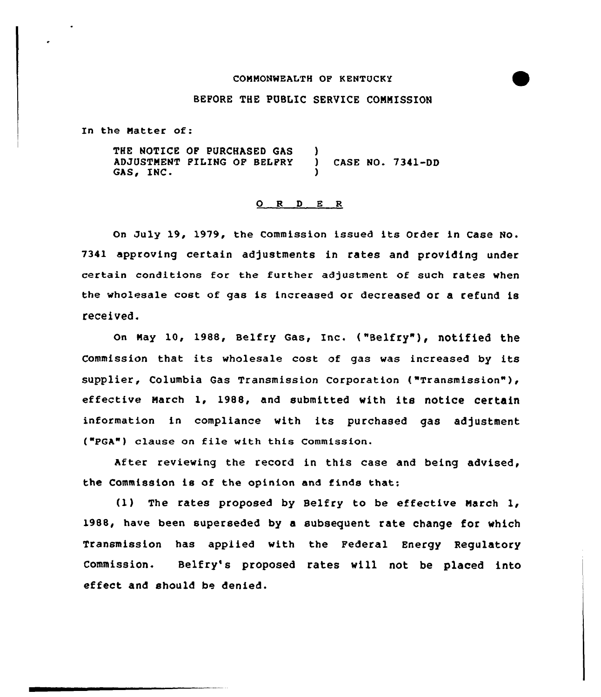## COMMONWEALTH OF KENTOCKY

## BEFORE THE PUSLIC SERVICE COMMISSION

In the Matter of:

THE NOTICE QF PURCHASED GAS ADJUSTMENT FILING OP BELFRY GAS, INC. ) ) CASE NO. 7341-DD )

## 0 <sup>R</sup> <sup>D</sup> E <sup>R</sup>

On July 19, 1979, the Commission issued its Order in Case No. 7341 approving certain adjustments in rates and providing under certain conditions for the further adjustment of such rates when the wholesale cost of gas is increased or decreased or a refund is received.

On Nay 10, 1988, Belfry Gas, Inc. ( "Belfry")< notified the Commission that its wholesale cost of gas was increased by its supplier, Columbia Gas Transmission Corporation ("Transmission"), effective March 1, 1988, and submitted with its notice certain information in compliance with its purchased gas adjustment ("PGA") clause on file with this Commission.

After reviewing the record in this case and being advised, the Commission is of the opinion and finds that:

(1) The rates proposed by Belfry to be effective March 1, 1988, have been superseded by a subsequent rate change for which Transmission has appiied with the Federal Energy Regulatory Commission. Belfry's proposed rates will not be p1aced into effect and should be denied.